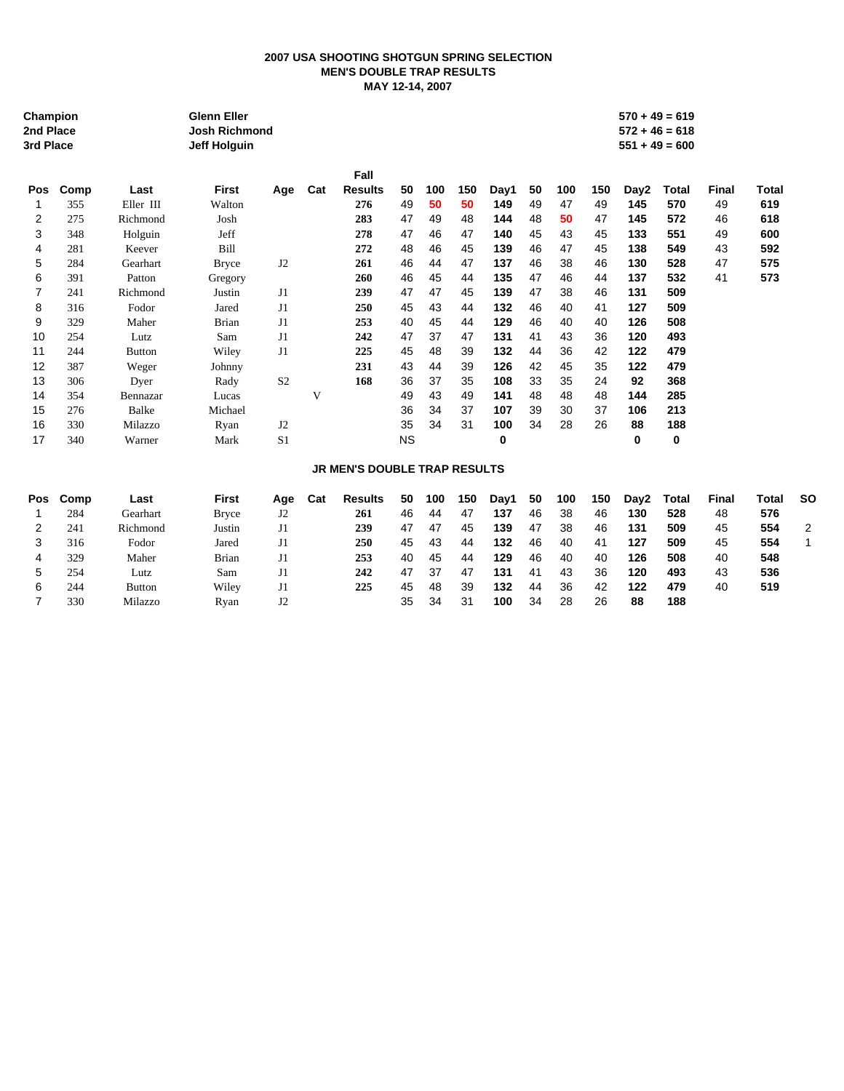## **2007 USA SHOOTING SHOTGUN SPRING SELECTION MEN'S DOUBLE TRAP RESULTS MAY 12-14, 2007**

| Champion<br>2nd Place<br>3rd Place |      |               | <b>Glenn Eller</b><br><b>Josh Richmond</b><br><b>Jeff Holguin</b> |                |     |                                     |           |     |     |      |    |     |     |      | $570 + 49 = 619$<br>$572 + 46 = 618$<br>$551 + 49 = 600$ |              |              |              |
|------------------------------------|------|---------------|-------------------------------------------------------------------|----------------|-----|-------------------------------------|-----------|-----|-----|------|----|-----|-----|------|----------------------------------------------------------|--------------|--------------|--------------|
|                                    |      |               |                                                                   |                |     | Fall                                |           |     |     |      |    |     |     |      |                                                          |              |              |              |
| Pos                                | Comp | Last          | <b>First</b>                                                      | Age            | Cat | <b>Results</b>                      | 50        | 100 | 150 | Day1 | 50 | 100 | 150 | Day2 | <b>Total</b>                                             | <b>Final</b> | <b>Total</b> |              |
| 1                                  | 355  | Eller III     | Walton                                                            |                |     | 276                                 | 49        | 50  | 50  | 149  | 49 | 47  | 49  | 145  | 570                                                      | 49           | 619          |              |
| 2                                  | 275  | Richmond      | Josh                                                              |                |     | 283                                 | 47        | 49  | 48  | 144  | 48 | 50  | 47  | 145  | 572                                                      | 46           | 618          |              |
| 3                                  | 348  | Holguin       | Jeff                                                              |                |     | 278                                 | 47        | 46  | 47  | 140  | 45 | 43  | 45  | 133  | 551                                                      | 49           | 600          |              |
| 4                                  | 281  | Keever        | Bill                                                              |                |     | 272                                 | 48        | 46  | 45  | 139  | 46 | 47  | 45  | 138  | 549                                                      | 43           | 592          |              |
| 5                                  | 284  | Gearhart      | <b>Bryce</b>                                                      | J2             |     | 261                                 | 46        | 44  | 47  | 137  | 46 | 38  | 46  | 130  | 528                                                      | 47           | 575          |              |
| 6                                  | 391  | Patton        | Gregory                                                           |                |     | 260                                 | 46        | 45  | 44  | 135  | 47 | 46  | 44  | 137  | 532                                                      | 41           | 573          |              |
| 7                                  | 241  | Richmond      | Justin                                                            | J1             |     | 239                                 | 47        | 47  | 45  | 139  | 47 | 38  | 46  | 131  | 509                                                      |              |              |              |
| 8                                  | 316  | Fodor         | Jared                                                             | J <sub>1</sub> |     | 250                                 | 45        | 43  | 44  | 132  | 46 | 40  | 41  | 127  | 509                                                      |              |              |              |
| 9                                  | 329  | Maher         | <b>Brian</b>                                                      | J <sub>1</sub> |     | 253                                 | 40        | 45  | 44  | 129  | 46 | 40  | 40  | 126  | 508                                                      |              |              |              |
| 10                                 | 254  | Lutz          | Sam                                                               | J <sub>1</sub> |     | 242                                 | 47        | 37  | 47  | 131  | 41 | 43  | 36  | 120  | 493                                                      |              |              |              |
| 11                                 | 244  | <b>Button</b> | Wiley                                                             | J <sub>1</sub> |     | 225                                 | 45        | 48  | 39  | 132  | 44 | 36  | 42  | 122  | 479                                                      |              |              |              |
| 12                                 | 387  | Weger         | Johnny                                                            |                |     | 231                                 | 43        | 44  | 39  | 126  | 42 | 45  | 35  | 122  | 479                                                      |              |              |              |
| 13                                 | 306  | Dyer          | Rady                                                              | S <sub>2</sub> |     | 168                                 | 36        | 37  | 35  | 108  | 33 | 35  | 24  | 92   | 368                                                      |              |              |              |
| 14                                 | 354  | Bennazar      | Lucas                                                             |                | V   |                                     | 49        | 43  | 49  | 141  | 48 | 48  | 48  | 144  | 285                                                      |              |              |              |
| 15                                 | 276  | <b>Balke</b>  | Michael                                                           |                |     |                                     | 36        | 34  | 37  | 107  | 39 | 30  | 37  | 106  | 213                                                      |              |              |              |
| 16                                 | 330  | Milazzo       | Ryan                                                              | J2             |     |                                     | 35        | 34  | 31  | 100  | 34 | 28  | 26  | 88   | 188                                                      |              |              |              |
| 17                                 | 340  | Warner        | Mark                                                              | S <sub>1</sub> |     |                                     | <b>NS</b> |     |     | 0    |    |     |     | 0    | 0                                                        |              |              |              |
|                                    |      |               |                                                                   |                |     | <b>JR MEN'S DOUBLE TRAP RESULTS</b> |           |     |     |      |    |     |     |      |                                                          |              |              |              |
| <b>Pos</b>                         | Comp | Last          | <b>First</b>                                                      | Age            | Cat | <b>Results</b>                      | 50        | 100 | 150 | Day1 | 50 | 100 | 150 | Day2 | <b>Total</b>                                             | <b>Final</b> | <b>Total</b> | <b>SO</b>    |
| 1                                  | 284  | Gearhart      | <b>Bryce</b>                                                      | J2             |     | 261                                 | 46        | 44  | 47  | 137  | 46 | 38  | 46  | 130  | 528                                                      | 48           | 576          |              |
| 2                                  | 241  | Richmond      | Justin                                                            | J1             |     | 239                                 | 47        | 47  | 45  | 139  | 47 | 38  | 46  | 131  | 509                                                      | 45           | 554          | 2            |
| 3                                  | 316  | Fodor         | Jared                                                             | J <sub>1</sub> |     | 250                                 | 45        | 43  | 44  | 132  | 46 | 40  | 41  | 127  | 509                                                      | 45           | 554          | $\mathbf{1}$ |

 329 Maher Brian J1 **253** 40 45 44 **129** 46 40 40 **126 508** 40 **548** 254 Lutz Sam J1 **242** 47 37 47 **131** 41 43 36 **120 493** 43 **536** 244 Button Wiley J1 **225** 45 48 39 **132** 44 36 42 **122 479** 40 **519**

330 Milazzo Ryan J2 35 34 31 **100** 34 28 26 **88 188**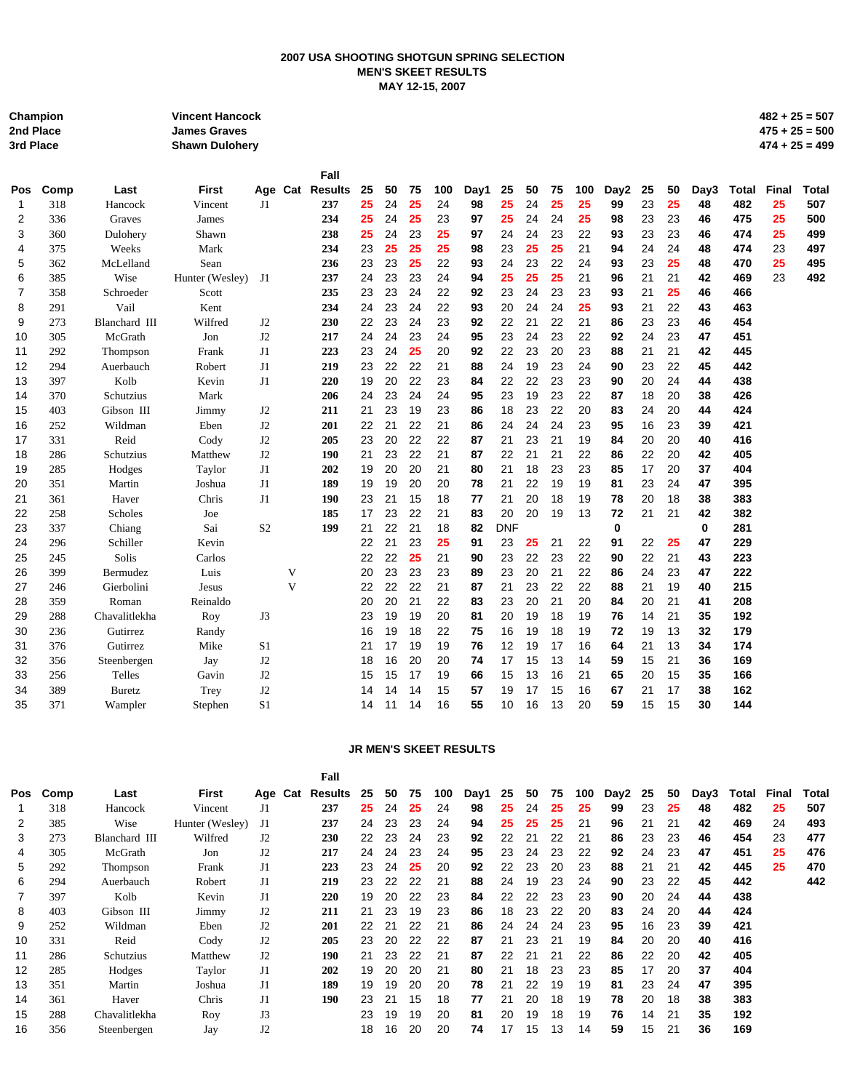## **2007 USA SHOOTING SHOTGUN SPRING SELECTION MEN'S SKEET RESULTS MAY 12-15, 2007**

| Champion  | <b>Vincent Hancock</b> | $482 + 25 = 507$ |
|-----------|------------------------|------------------|
| 2nd Place | <b>James Graves</b>    | $475 + 25 = 500$ |
| 3rd Place | <b>Shawn Duloherv</b>  | $474 + 25 = 499$ |

|            |      |               |                 |                |   | Fall            |    |    |    |     |      |            |    |    |     |          |    |    |      |              |       |              |
|------------|------|---------------|-----------------|----------------|---|-----------------|----|----|----|-----|------|------------|----|----|-----|----------|----|----|------|--------------|-------|--------------|
| <b>Pos</b> | Comp | Last          | <b>First</b>    |                |   | Age Cat Results | 25 | 50 | 75 | 100 | Day1 | 25         | 50 | 75 | 100 | Day2     | 25 | 50 | Day3 | <b>Total</b> | Final | <b>Total</b> |
| 1          | 318  | Hancock       | Vincent         | J1             |   | 237             | 25 | 24 | 25 | 24  | 98   | 25         | 24 | 25 | 25  | 99       | 23 | 25 | 48   | 482          | 25    | 507          |
| 2          | 336  | Graves        | James           |                |   | 234             | 25 | 24 | 25 | 23  | 97   | 25         | 24 | 24 | 25  | 98       | 23 | 23 | 46   | 475          | 25    | 500          |
| 3          | 360  | Dulohery      | Shawn           |                |   | 238             | 25 | 24 | 23 | 25  | 97   | 24         | 24 | 23 | 22  | 93       | 23 | 23 | 46   | 474          | 25    | 499          |
| 4          | 375  | Weeks         | Mark            |                |   | 234             | 23 | 25 | 25 | 25  | 98   | 23         | 25 | 25 | 21  | 94       | 24 | 24 | 48   | 474          | 23    | 497          |
| 5          | 362  | McLelland     | Sean            |                |   | 236             | 23 | 23 | 25 | 22  | 93   | 24         | 23 | 22 | 24  | 93       | 23 | 25 | 48   | 470          | 25    | 495          |
| 6          | 385  | Wise          | Hunter (Wesley) | J1             |   | 237             | 24 | 23 | 23 | 24  | 94   | 25         | 25 | 25 | 21  | 96       | 21 | 21 | 42   | 469          | 23    | 492          |
| 7          | 358  | Schroeder     | Scott           |                |   | 235             | 23 | 23 | 24 | 22  | 92   | 23         | 24 | 23 | 23  | 93       | 21 | 25 | 46   | 466          |       |              |
| 8          | 291  | Vail          | Kent            |                |   | 234             | 24 | 23 | 24 | 22  | 93   | 20         | 24 | 24 | 25  | 93       | 21 | 22 | 43   | 463          |       |              |
| 9          | 273  | Blanchard III | Wilfred         | J2             |   | 230             | 22 | 23 | 24 | 23  | 92   | 22         | 21 | 22 | 21  | 86       | 23 | 23 | 46   | 454          |       |              |
| 10         | 305  | McGrath       | Jon             | J2             |   | 217             | 24 | 24 | 23 | 24  | 95   | 23         | 24 | 23 | 22  | 92       | 24 | 23 | 47   | 451          |       |              |
| 11         | 292  | Thompson      | Frank           | J1             |   | 223             | 23 | 24 | 25 | 20  | 92   | 22         | 23 | 20 | 23  | 88       | 21 | 21 | 42   | 445          |       |              |
| 12         | 294  | Auerbauch     | Robert          | J1             |   | 219             | 23 | 22 | 22 | 21  | 88   | 24         | 19 | 23 | 24  | 90       | 23 | 22 | 45   | 442          |       |              |
| 13         | 397  | Kolb          | Kevin           | J <sub>1</sub> |   | 220             | 19 | 20 | 22 | 23  | 84   | 22         | 22 | 23 | 23  | 90       | 20 | 24 | 44   | 438          |       |              |
| 14         | 370  | Schutzius     | Mark            |                |   | 206             | 24 | 23 | 24 | 24  | 95   | 23         | 19 | 23 | 22  | 87       | 18 | 20 | 38   | 426          |       |              |
| 15         | 403  | Gibson III    | Jimmy           | J2             |   | 211             | 21 | 23 | 19 | 23  | 86   | 18         | 23 | 22 | 20  | 83       | 24 | 20 | 44   | 424          |       |              |
| 16         | 252  | Wildman       | Eben            | J2             |   | 201             | 22 | 21 | 22 | 21  | 86   | 24         | 24 | 24 | 23  | 95       | 16 | 23 | 39   | 421          |       |              |
| 17         | 331  | Reid          | Cody            | J2             |   | 205             | 23 | 20 | 22 | 22  | 87   | 21         | 23 | 21 | 19  | 84       | 20 | 20 | 40   | 416          |       |              |
| 18         | 286  | Schutzius     | Matthew         | J2             |   | 190             | 21 | 23 | 22 | 21  | 87   | 22         | 21 | 21 | 22  | 86       | 22 | 20 | 42   | 405          |       |              |
| 19         | 285  | Hodges        | Taylor          | J <sub>1</sub> |   | 202             | 19 | 20 | 20 | 21  | 80   | 21         | 18 | 23 | 23  | 85       | 17 | 20 | 37   | 404          |       |              |
| 20         | 351  | Martin        | Joshua          | J1             |   | 189             | 19 | 19 | 20 | 20  | 78   | 21         | 22 | 19 | 19  | 81       | 23 | 24 | 47   | 395          |       |              |
| 21         | 361  | Haver         | Chris           | J1             |   | 190             | 23 | 21 | 15 | 18  | 77   | 21         | 20 | 18 | 19  | 78       | 20 | 18 | 38   | 383          |       |              |
| 22         | 258  | Scholes       | Joe             |                |   | 185             | 17 | 23 | 22 | 21  | 83   | 20         | 20 | 19 | 13  | 72       | 21 | 21 | 42   | 382          |       |              |
| 23         | 337  | Chiang        | Sai             | S <sub>2</sub> |   | 199             | 21 | 22 | 21 | 18  | 82   | <b>DNF</b> |    |    |     | $\bf{0}$ |    |    | 0    | 281          |       |              |
| 24         | 296  | Schiller      | Kevin           |                |   |                 | 22 | 21 | 23 | 25  | 91   | 23         | 25 | 21 | 22  | 91       | 22 | 25 | 47   | 229          |       |              |
| 25         | 245  | Solis         | Carlos          |                |   |                 | 22 | 22 | 25 | 21  | 90   | 23         | 22 | 23 | 22  | 90       | 22 | 21 | 43   | 223          |       |              |
| 26         | 399  | Bermudez      | Luis            |                | V |                 | 20 | 23 | 23 | 23  | 89   | 23         | 20 | 21 | 22  | 86       | 24 | 23 | 47   | 222          |       |              |
| 27         | 246  | Gierbolini    | Jesus           |                | V |                 | 22 | 22 | 22 | 21  | 87   | 21         | 23 | 22 | 22  | 88       | 21 | 19 | 40   | 215          |       |              |
| 28         | 359  | Roman         | Reinaldo        |                |   |                 | 20 | 20 | 21 | 22  | 83   | 23         | 20 | 21 | 20  | 84       | 20 | 21 | 41   | 208          |       |              |
| 29         | 288  | Chavalitlekha | Roy             | J3             |   |                 | 23 | 19 | 19 | 20  | 81   | 20         | 19 | 18 | 19  | 76       | 14 | 21 | 35   | 192          |       |              |
| 30         | 236  | Gutirrez      | Randy           |                |   |                 | 16 | 19 | 18 | 22  | 75   | 16         | 19 | 18 | 19  | 72       | 19 | 13 | 32   | 179          |       |              |
| 31         | 376  | Gutirrez      | Mike            | S <sub>1</sub> |   |                 | 21 | 17 | 19 | 19  | 76   | 12         | 19 | 17 | 16  | 64       | 21 | 13 | 34   | 174          |       |              |
| 32         | 356  | Steenbergen   | Jay             | J2             |   |                 | 18 | 16 | 20 | 20  | 74   | 17         | 15 | 13 | 14  | 59       | 15 | 21 | 36   | 169          |       |              |
| 33         | 256  | Telles        | Gavin           | J2             |   |                 | 15 | 15 | 17 | 19  | 66   | 15         | 13 | 16 | 21  | 65       | 20 | 15 | 35   | 166          |       |              |
| 34         | 389  | <b>Buretz</b> | Trey            | J2             |   |                 | 14 | 14 | 14 | 15  | 57   | 19         | 17 | 15 | 16  | 67       | 21 | 17 | 38   | 162          |       |              |
| 35         | 371  | Wampler       | Stephen         | S <sub>1</sub> |   |                 | 14 | 11 | 14 | 16  | 55   | 10         | 16 | 13 | 20  | 59       | 15 | 15 | 30   | 144          |       |              |
|            |      |               |                 |                |   |                 |    |    |    |     |      |            |    |    |     |          |    |    |      |              |       |              |

## **JR MEN'S SKEET RESULTS**

| Comp | Last             | First           |                | Results | -25             | 50 | 75 | 100 | Day1 | 25 | 50 | 75 | 100 | Day2 | 25 | 50 | Day3 | Total | Final | Total |
|------|------------------|-----------------|----------------|---------|-----------------|----|----|-----|------|----|----|----|-----|------|----|----|------|-------|-------|-------|
| 318  | Hancock          | Vincent         | J1             | 237     | 25              | 24 | 25 | 24  | 98   | 25 | 24 | 25 | 25  | 99   | 23 | 25 | 48   | 482   | 25    | 507   |
| 385  | Wise             | Hunter (Wesley) | J1             | 237     | 24              | 23 | 23 | 24  | 94   | 25 | 25 | 25 | 21  | 96   | 21 | 21 | 42   | 469   | 24    | 493   |
| 273  | Blanchard III    | Wilfred         | J2             | 230     | 22              | 23 | 24 | 23  | 92   | 22 | 21 | 22 | 21  | 86   | 23 | 23 | 46   | 454   | 23    | 477   |
| 305  | McGrath          | Jon             | J2             | 217     | 24              | 24 | 23 | 24  | 95   | 23 | 24 | 23 | 22  | 92   | 24 | 23 | 47   | 451   | 25    | 476   |
| 292  | Thompson         | Frank           | J1             | 223     | 23              | 24 | 25 | 20  | 92   | 22 | 23 | 20 | 23  | 88   | 21 | 21 | 42   | 445   | 25    | 470   |
| 294  | Auerbauch        | Robert          | J1             | 219     | 23              | 22 | 22 | 21  | 88   | 24 | 19 | 23 | 24  | 90   | 23 | 22 | 45   | 442   |       | 442   |
| 397  | Kolb             | Kevin           | J1             | 220     | 19              | 20 | 22 | 23  | 84   | 22 | 22 | 23 | 23  | 90   | 20 | 24 | 44   | 438   |       |       |
| 403  | Gibson III       | Jimmy           | J2             | 211     | 21              | 23 | 19 | 23  | 86   | 18 | 23 | 22 | 20  | 83   | 24 | 20 | 44   | 424   |       |       |
| 252  | Wildman          | Eben            | J2             | 201     | 22              | 21 | 22 | 21  | 86   | 24 | 24 | 24 | 23  | 95   | 16 | 23 | 39   | 421   |       |       |
| 331  | Reid             | Cody            | J2             | 205     | 23              | 20 | 22 | 22  | 87   | 21 | 23 | 21 | 19  | 84   | 20 | 20 | 40   | 416   |       |       |
| 286  | <b>Schutzius</b> | Matthew         | J2             | 190     | 21              | 23 | 22 | 21  | 87   | 22 | 21 | 21 | 22  | 86   | 22 | 20 | 42   | 405   |       |       |
| 285  | Hodges           | Taylor          | J <sub>1</sub> | 202     | 19              | 20 | 20 | 21  | 80   | 21 | 18 | 23 | 23  | 85   | 17 | 20 | 37   | 404   |       |       |
| 351  | Martin           | Joshua          | J1             | 189     | 19              | 19 | 20 | 20  | 78   | 21 | 22 | 19 | 19  | 81   | 23 | 24 | 47   | 395   |       |       |
| 361  | Haver            | Chris           | J1             | 190     | 23              | 21 | 15 | 18  | 77   | 21 | 20 | 18 | 19  | 78   | 20 | 18 | 38   | 383   |       |       |
| 288  | Chavalitlekha    | Roy             | J3             |         | 23              | 19 | 19 | 20  | 81   | 20 | 19 | 18 | 19  | 76   | 14 | 21 | 35   | 192   |       |       |
| 356  | Steenbergen      | Jay             | J2             |         | 18              | 16 | 20 | 20  | 74   | 17 | 15 | 13 | 14  | 59   | 15 | 21 | 36   | 169   |       |       |
|      |                  |                 |                |         | Fall<br>Age Cat |    |    |     |      |    |    |    |     |      |    |    |      |       |       |       |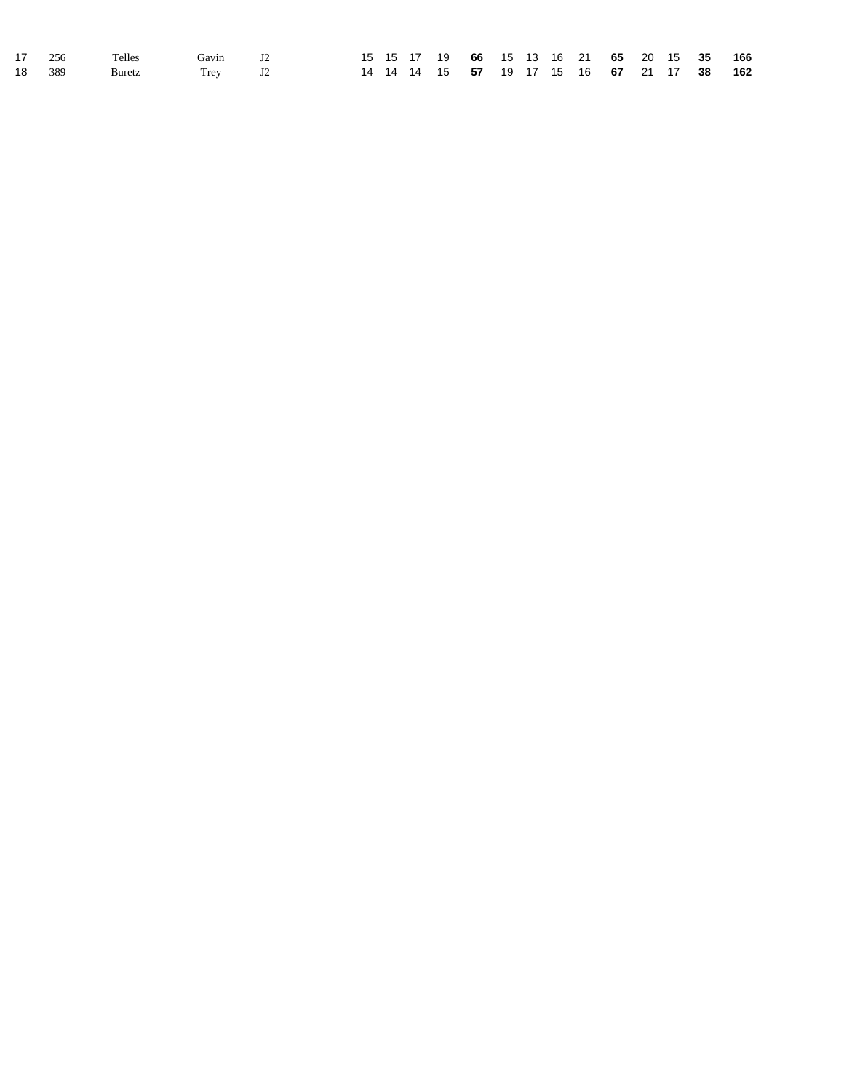|  | 17 256 Telles         | Gavin J2 |  |  |  |  |  |  | 15 15 17 19 66 15 13 16 21 65 20 15 35 166                      |  |
|--|-----------------------|----------|--|--|--|--|--|--|-----------------------------------------------------------------|--|
|  | 18 389 Buretz Trey J2 |          |  |  |  |  |  |  | 14 14 14 15 <b>57</b> 19 17 15 16 <b>67</b> 21 17 <b>38 162</b> |  |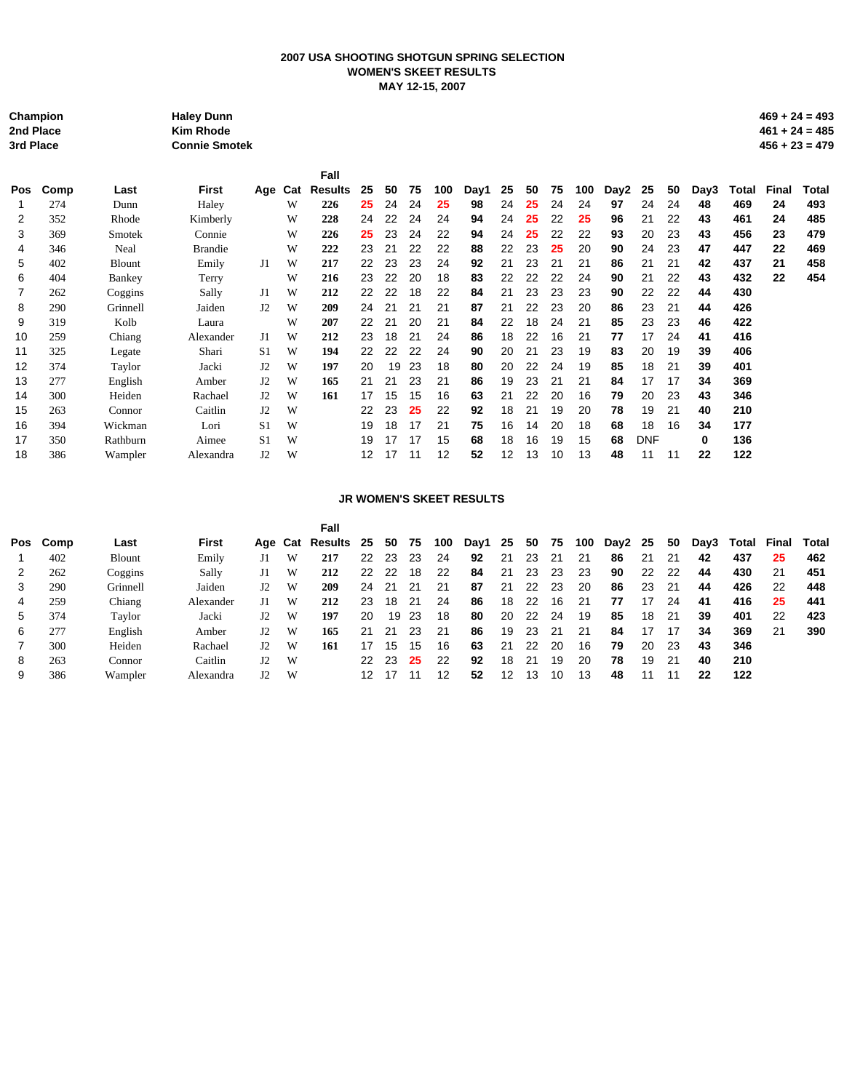## **2007 USA SHOOTING SHOTGUN SPRING SELECTION WOMEN'S SKEET RESULTS MAY 12-15, 2007**

| 3rd Place  | Champion<br>2nd Place |               | <b>Haley Dunn</b><br><b>Kim Rhode</b><br><b>Connie Smotek</b> |                |     |                |    |    |    |     |      |    |    |    |     |      |            |    |      |       |       | $469 + 24 = 493$<br>$461 + 24 = 485$<br>$456 + 23 = 479$ |
|------------|-----------------------|---------------|---------------------------------------------------------------|----------------|-----|----------------|----|----|----|-----|------|----|----|----|-----|------|------------|----|------|-------|-------|----------------------------------------------------------|
|            |                       |               |                                                               |                |     | Fall           |    |    |    |     |      |    |    |    |     |      |            |    |      |       |       |                                                          |
| <b>Pos</b> | Comp                  | Last          | First                                                         | Aqe            | Cat | <b>Results</b> | 25 | 50 | 75 | 100 | Day1 | 25 | 50 | 75 | 100 | Day2 | 25         | 50 | Day3 | Total | Final | Total                                                    |
|            | 274                   | Dunn          | Haley                                                         |                | W   | 226            | 25 | 24 | 24 | 25  | 98   | 24 | 25 | 24 | 24  | 97   | 24         | 24 | 48   | 469   | 24    | 493                                                      |
| 2          | 352                   | Rhode         | Kimberly                                                      |                | W   | 228            | 24 | 22 | 24 | 24  | 94   | 24 | 25 | 22 | 25  | 96   | 21         | 22 | 43   | 461   | 24    | 485                                                      |
| 3          | 369                   | Smotek        | Connie                                                        |                | W   | 226            | 25 | 23 | 24 | 22  | 94   | 24 | 25 | 22 | 22  | 93   | 20         | 23 | 43   | 456   | 23    | 479                                                      |
| 4          | 346                   | Neal          | <b>Brandie</b>                                                |                | W   | 222            | 23 | 21 | 22 | 22  | 88   | 22 | 23 | 25 | 20  | 90   | 24         | 23 | 47   | 447   | 22    | 469                                                      |
| 5          | 402                   | <b>Blount</b> | Emily                                                         | J1             | W   | 217            | 22 | 23 | 23 | 24  | 92   | 21 | 23 | 21 | 21  | 86   | 21         | 21 | 42   | 437   | 21    | 458                                                      |
| 6          | 404                   | <b>Bankey</b> | Terry                                                         |                | W   | 216            | 23 | 22 | 20 | 18  | 83   | 22 | 22 | 22 | 24  | 90   | 21         | 22 | 43   | 432   | 22    | 454                                                      |
|            | 262                   | Coggins       | Sally                                                         | J1             | W   | 212            | 22 | 22 | 18 | 22  | 84   | 21 | 23 | 23 | 23  | 90   | 22         | 22 | 44   | 430   |       |                                                          |
| 8          | 290                   | Grinnell      | Jaiden                                                        | J2             | W   | 209            | 24 | 21 | 21 | 21  | 87   | 21 | 22 | 23 | 20  | 86   | 23         | 21 | 44   | 426   |       |                                                          |
| 9          | 319                   | Kolb          | Laura                                                         |                | W   | 207            | 22 | 21 | 20 | 21  | 84   | 22 | 18 | 24 | 21  | 85   | 23         | 23 | 46   | 422   |       |                                                          |
| 10         | 259                   | Chiang        | Alexander                                                     | J1             | W   | 212            | 23 | 18 | 21 | 24  | 86   | 18 | 22 | 16 | 21  | 77   | 17         | 24 | 41   | 416   |       |                                                          |
| 11         | 325                   | Legate        | Shari                                                         | S <sub>1</sub> | W   | 194            | 22 | 22 | 22 | 24  | 90   | 20 | 21 | 23 | 19  | 83   | 20         | 19 | 39   | 406   |       |                                                          |
| 12         | 374                   | Taylor        | Jacki                                                         | J2             | W   | 197            | 20 | 19 | 23 | 18  | 80   | 20 | 22 | 24 | 19  | 85   | 18         | 21 | 39   | 401   |       |                                                          |
| 13         | 277                   | English       | Amber                                                         | J2             | W   | 165            | 21 | 21 | 23 | 21  | 86   | 19 | 23 | 21 | 21  | 84   | 17         | 17 | 34   | 369   |       |                                                          |
| 14         | 300                   | Heiden        | Rachael                                                       | J2             | W   | 161            | 17 | 15 | 15 | 16  | 63   | 21 | 22 | 20 | 16  | 79   | 20         | 23 | 43   | 346   |       |                                                          |
| 15         | 263                   | Connor        | Caitlin                                                       | J2             | W   |                | 22 | 23 | 25 | 22  | 92   | 18 | 21 | 19 | 20  | 78   | 19         | 21 | 40   | 210   |       |                                                          |
| 16         | 394                   | Wickman       | Lori                                                          | S <sub>1</sub> | W   |                | 19 | 18 | 17 | 21  | 75   | 16 | 14 | 20 | 18  | 68   | 18         | 16 | 34   | 177   |       |                                                          |
| 17         | 350                   | Rathburn      | Aimee                                                         | S <sub>1</sub> | W   |                | 19 | 17 | 17 | 15  | 68   | 18 | 16 | 19 | 15  | 68   | <b>DNF</b> |    | 0    | 136   |       |                                                          |
| 18         | 386                   | Wampler       | Alexandra                                                     | J2             | W   |                | 12 | 17 | 11 | 12  | 52   | 12 | 13 | 10 | 13  | 48   | 11         | 11 | 22   | 122   |       |                                                          |

#### **JR WOMEN'S SKEET RESULTS**

|             |      |               |           |             |   | Fall       |    |     |     |     |      |    |    |    |     |      |    |    |      |       |       |       |
|-------------|------|---------------|-----------|-------------|---|------------|----|-----|-----|-----|------|----|----|----|-----|------|----|----|------|-------|-------|-------|
| Pos         | Comp | Last          | First     | Age Cat     |   | Results 25 |    | 50  | 75  | 100 | Day1 | 25 | 50 | 75 | 100 | Day2 | 25 | 50 | Dav3 | Total | Final | Total |
|             | 402  | <b>Blount</b> | Emily     | J1          | W | 217        | 22 | 23  | 23  | 24  | 92   | 21 | 23 | 21 | 21  | 86   | 21 | 21 | 42   | 437   | 25    | 462   |
|             | 262  | Coggins       | Sally     | J1          | W | 212        | 22 | 22  | 18  | 22  | 84   | 21 | 23 | 23 | 23  | 90   | 22 | 22 | 44   | 430   | 21    | 451   |
|             | 290  | Grinnell      | Jaiden    | J2          | W | 209        | 24 | 21  | 21  | 21  | 87   | 21 | 22 | 23 | 20  | 86   | 23 | 21 | 44   | 426   | 22    | 448   |
| 4           | 259  | Chiang        | Alexander | J1          | W | 212        | 23 | 18  | -21 | 24  | 86   | 18 | 22 | 16 | 21  | 77   | 17 | 24 | 41   | 416   | 25    | 441   |
| $5^{\circ}$ | 374  | Taylor        | Jacki     | J2          | W | 197        | 20 | 19  | -23 | 18  | 80   | 20 | 22 | 24 | 19  | 85   | 18 | 21 | 39   | 401   | 22    | 423   |
| 6           | 277  | English       | Amber     | $_{\rm J2}$ | W | 165        | 21 | -21 | 23  | 21  | 86   | 19 | 23 | 21 | 21  | 84   | 17 | 17 | 34   | 369   | 21    | 390   |
|             | 300  | Heiden        | Rachael   | $_{\rm J2}$ | W | 161        | 17 | 15  | 15  | 16  | 63   | 21 | 22 | 20 | 16  | 79   | 20 | 23 | 43   | 346   |       |       |
| 8           | 263  | Connor        | Caitlin   | $_{\rm J2}$ | W |            | 22 | 23  | 25  | 22  | 92   | 18 | 21 | 19 | 20  | 78   | 19 | 21 | 40   | 210   |       |       |
| 9           | 386  | Wampler       | Alexandra | J2          | W |            | 12 |     |     | 12  | 52   | 12 | 13 | 10 | 13  | 48   | 11 |    | 22   | 122   |       |       |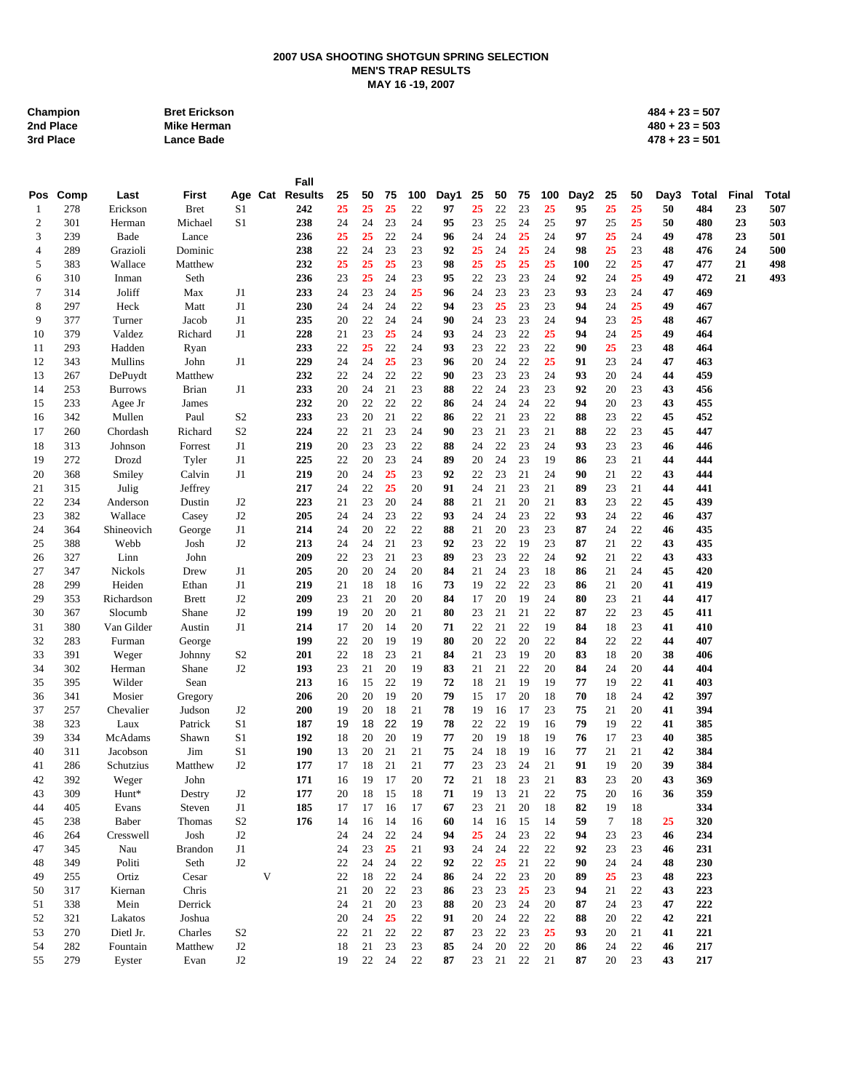### **2007 USA SHOOTING SHOTGUN SPRING SELECTION MEN'S TRAP RESULTS MAY 16 -19, 2007**

| Champion  | <b>Bret Erickson</b> | $484 + 23 = 507$ |
|-----------|----------------------|------------------|
| 2nd Place | Mike Herman          | $480 + 23 = 503$ |
| 3rd Place | <b>Lance Bade</b>    | $478 + 23 = 501$ |

|          |            |                     |                   |                |   | Fall            |          |          |          |          |          |          |          |          |          |          |          |          |          |              |       |       |
|----------|------------|---------------------|-------------------|----------------|---|-----------------|----------|----------|----------|----------|----------|----------|----------|----------|----------|----------|----------|----------|----------|--------------|-------|-------|
| Pos      | Comp       | Last                | First             |                |   | Age Cat Results | 25       | 50       | 75       | 100      | Day1     | 25       | 50       | 75       | 100      | Day2     | 25       | 50       | Day3     | <b>Total</b> | Final | Total |
| -1       | 278        | Erickson            | <b>Bret</b>       | S1             |   | 242             | 25       | 25       | 25       | 22       | 97       | 25       | 22       | 23       | 25       | 95       | 25       | 25       | 50       | 484          | 23    | 507   |
| 2        | 301        | Herman              | Michael           | S <sub>1</sub> |   | 238             | 24       | 24       | 23       | 24       | 95       | 23       | 25       | 24       | 25       | 97       | 25       | 25       | 50       | 480          | 23    | 503   |
| 3        | 239        | Bade                | Lance             |                |   | 236             | 25       | 25       | 22       | 24       | 96       | 24       | 24       | 25       | 24       | 97       | 25       | 24       | 49       | 478          | 23    | 501   |
| 4        | 289        | Grazioli            | Dominic           |                |   | 238             | 22       | 24       | 23       | 23       | 92       | 25       | 24       | 25       | 24       | 98       | 25       | 23       | 48       | 476          | 24    | 500   |
| 5        | 383        | Wallace             | Matthew           |                |   | 232             | 25       | 25       | 25       | 23       | 98       | 25       | 25       | 25       | 25       | 100      | 22       | 25       | 47       | 477          | 21    | 498   |
| 6        | 310        | Inman               | Seth              |                |   | 236             | 23       | 25       | 24       | 23       | 95       | 22       | 23       | 23       | 24       | 92       | 24       | 25       | 49       | 472          | 21    | 493   |
| 7        | 314        | Joliff              | Max               | J1             |   | 233             | 24       | 23       | 24       | 25       | 96       | 24       | 23       | 23       | 23       | 93       | 23       | 24       | 47       | 469          |       |       |
| 8        | 297        | Heck                | Matt              | J1             |   | 230             | 24       | 24       | 24       | 22       | 94       | 23       | 25       | 23       | 23       | 94       | 24       | 25       | 49       | 467          |       |       |
| 9        | 377        | Turner              | Jacob             | J1             |   | 235             | 20       | 22       | 24       | 24       | 90       | 24       | 23       | 23       | 24       | 94       | 23       | 25       | 48       | 467          |       |       |
| 10       | 379        | Valdez              | Richard           | J1             |   | 228             | 21       | 23       | 25       | 24       | 93       | 24       | 23       | 22       | 25       | 94       | 24       | 25       | 49       | 464          |       |       |
| 11       | 293        | Hadden              | Ryan              |                |   | 233             | 22       | 25       | 22       | 24       | 93       | 23       | 22       | 23       | 22       | 90       | 25       | 23       | 48       | 464          |       |       |
| 12       | 343        | Mullins             | John              | J1             |   | 229             | 24       | 24       | 25       | 23       | 96       | 20       | 24       | 22       | 25       | 91       | 23       | 24       | 47       | 463          |       |       |
| 13       | 267        | DePuydt             | Matthew           |                |   | 232             | 22       | 24       | 22       | 22       | 90       | 23       | 23       | 23       | 24       | 93       | 20       | 24       | 44       | 459          |       |       |
| 14       | 253        | <b>Burrows</b>      | Brian             | J1             |   | 233             | 20       | 24       | 21       | 23       | 88       | 22       | 24       | 23       | 23       | 92       | 20       | 23       | 43       | 456          |       |       |
| 15       | 233        | Agee Jr             | James             |                |   | 232             | 20       | 22       | 22       | 22       | 86       | 24       | 24       | 24       | 22       | 94       | 20       | 23       | 43       | 455          |       |       |
| 16       | 342        | Mullen              | Paul              | S <sub>2</sub> |   | 233             | 23       | 20       | 21       | 22       | 86       | 22       | 21       | 23       | 22       | 88       | 23       | 22       | 45       | 452          |       |       |
| 17       | 260        | Chordash            | Richard           | S <sub>2</sub> |   | 224             | 22       | 21       | 23       | 24       | 90       | 23       | 21       | 23       | 21       | 88       | 22       | 23       | 45       | 447          |       |       |
| 18       | 313        | Johnson             | Forrest           | J1             |   | 219             | 20       | 23       | 23       | 22       | 88       | 24       | 22       | 23       | 24       | 93       | 23       | 23       | 46       | 446          |       |       |
| 19       | 272        | Drozd               | Tyler             | J1             |   | 225             | 22       | 20       | 23       | 24       | 89       | 20       | 24       | 23       | 19       | 86       | 23       | 21       | 44       | 444          |       |       |
| 20       | 368        | Smiley              | Calvin            | J1             |   | 219             | 20       | 24       | 25       | 23       | 92       | 22       | 23       | 21       | 24       | 90       | 21       | 22       | 43       | 444          |       |       |
| 21       | 315        | Julig               | Jeffrey           |                |   | 217             | 24       | 22       | 25       | 20       | 91       | 24       | 21       | 23       | 21       | 89       | 23       | 21       | 44       | 441          |       |       |
| 22       | 234        | Anderson            | Dustin            | J <sub>2</sub> |   | 223             | 21       | 23       | 20       | 24       | 88       | 21       | 21       | 20       | 21       | 83       | 23       | 22       | 45       | 439          |       |       |
| 23       | 382        | Wallace             | Casey             | J2             |   | 205             | 24       | 24       | 23       | 22       | 93       | 24       | 24       | 23       | 22       | 93       | 24       | 22       | 46       | 437          |       |       |
| 24       | 364        | Shineovich          | George            | J1             |   | 214             | 24       | 20       | 22       | 22       | 88       | 21       | 20       | 23       | 23       | 87       | 24       | 22       | 46       | 435          |       |       |
| 25       | 388        | Webb                | Josh              | J2             |   | 213             | 24       | 24       | 21       | 23       | 92       | 23       | 22       | 19       | 23       | 87       | 21       | 22       | 43       | 435          |       |       |
| 26       | 327        | Linn                | John              |                |   | 209             | 22       | 23       | 21       | 23       | 89       | 23       | 23       | 22       | 24       | 92       | 21       | 22       | 43       | 433          |       |       |
| 27       | 347        | <b>Nickols</b>      | Drew              | J1             |   | 205             | 20       | 20       | 24       | 20       | 84       | 21       | 24       | 23       | 18       | 86       | 21       | 24       | 45       | 420          |       |       |
| 28       | 299        | Heiden              | Ethan             | J1             |   | 219             | 21       | 18       | 18       | 16       | 73       | 19       | 22       | 22       | 23       | 86       | 21       | 20       | 41       | 419          |       |       |
| 29       | 353        | Richardson          | <b>Brett</b>      | J2             |   | 209             | 23       | 21       | 20       | 20       | 84       | 17       | 20       | 19       | 24       | 80       | 23       | 21       | 44       | 417          |       |       |
| 30       | 367        | Slocumb             | Shane             | J2             |   | 199             | 19       | 20       | 20       | 21       | 80       | 23       | 21       | 21       | 22       | 87       | 22       | 23       | 45       | 411          |       |       |
| 31       | 380        | Van Gilder          | Austin            | J1             |   | 214             | 17       | 20       | 14       | 20       | 71       | 22       | 21       | 22       | 19       | 84       | 18       | 23       | 41       | 410          |       |       |
| 32       | 283        | Furman              | George            |                |   | 199             | 22       | 20       | 19       | 19       | 80       | 20       | 22       | 20       | 22       | 84       | 22       | 22       | 44       | 407          |       |       |
| 33       | 391        | Weger               | Johnny            | S <sub>2</sub> |   | 201             | 22       | 18<br>21 | 23       | 21       | 84       | 21       | 23       | 19       | 20       | 83       | 18       | 20       | 38       | 406          |       |       |
| 34       | 302<br>395 | Herman<br>Wilder    | Shane             | J2             |   | 193<br>213      | 23       | 15       | 20<br>22 | 19<br>19 | 83<br>72 | 21       | 21<br>21 | 22<br>19 | 20<br>19 | 84<br>77 | 24<br>19 | 20<br>22 | 44<br>41 | 404<br>403   |       |       |
| 35       |            |                     | Sean              |                |   | 206             | 16<br>20 | 20       |          | 20       | 79       | 18<br>15 | 17       | 20       | 18       | 70       | 18       |          | 42       | 397          |       |       |
| 36<br>37 | 341<br>257 | Mosier<br>Chevalier | Gregory           | J <sub>2</sub> |   | 200             | 19       | 20       | 19<br>18 | 21       | 78       | 19       | 16       | 17       | 23       | 75       | 21       | 24<br>20 | 41       | 394          |       |       |
| 38       | 323        | Laux                | Judson<br>Patrick | S <sub>1</sub> |   | 187             | 19       | 18       | 22       | 19       | 78       | 22       | 22       | 19       | 16       | 79       | 19       | 22       | 41       | 385          |       |       |
| 39       | 334        | McAdams             | Shawn             | S <sub>1</sub> |   | 192             | 18       | 20       | 20       | 19       | 77       | 20       | 19       | 18       | 19       | 76       | 17       | 23       | 40       | 385          |       |       |
| 40       | 311        | Jacobson            | Jim               | S <sub>1</sub> |   | <b>190</b>      | 13       | 20       | 21       | 21       | 75       | 24       | 18       | 19       | 16       | 77       | 21       | 21       | 42       | 384          |       |       |
| 41       | 286        | Schutzius           | Matthew           | J2             |   | 177             | 17       | 18       | 21       | 21       | 77       | 23       | 23       | 24       | 21       | 91       | 19       | 20       | 39       | 384          |       |       |
| 42       | 392        | Weger               | John              |                |   | 171             | 16       | 19       | 17       | 20       | 72       | 21       | 18       | 23       | 21       | 83       | 23       | 20       | 43       | 369          |       |       |
| 43       | 309        | Hunt*               | Destry            | J2             |   | 177             | 20       | 18       | 15       | 18       | 71       | 19       | 13       | 21       | 22       | 75       | 20       | 16       | 36       | 359          |       |       |
| 44       | 405        | Evans               | Steven            | J1             |   | 185             | 17       | 17       | 16       | 17       | 67       | 23       | 21       | 20       | 18       | 82       | 19       | 18       |          | 334          |       |       |
| 45       | 238        | Baber               | Thomas            | S <sub>2</sub> |   | 176             | 14       | 16       | 14       | 16       | 60       | 14       | 16       | 15       | 14       | 59       | 7        | 18       | 25       | 320          |       |       |
| 46       | 264        | Cresswell           | Josh              | J <sub>2</sub> |   |                 | 24       | 24       | 22       | 24       | 94       | 25       | 24       | 23       | 22       | 94       | 23       | 23       | 46       | 234          |       |       |
| 47       | 345        | Nau                 | <b>Brandon</b>    | J1             |   |                 | 24       | 23       | 25       | 21       | 93       | 24       | 24       | 22       | 22       | 92       | 23       | 23       | 46       | 231          |       |       |
| 48       | 349        | Politi              | Seth              | J2             |   |                 | 22       | 24       | 24       | 22       | 92       | 22       | 25       | 21       | 22       | 90       | 24       | 24       | 48       | 230          |       |       |
| 49       | 255        | Ortiz               | Cesar             |                | V |                 | 22       | 18       | 22       | 24       | 86       | 24       | $22\,$   | 23       | 20       | 89       | 25       | 23       | 48       | 223          |       |       |
| 50       | 317        | Kiernan             | Chris             |                |   |                 | 21       | 20       | 22       | 23       | 86       | 23       | 23       | 25       | 23       | 94       | 21       | 22       | 43       | 223          |       |       |
| 51       | 338        | Mein                | Derrick           |                |   |                 | 24       | 21       | 20       | 23       | 88       | 20       | 23       | 24       | 20       | 87       | 24       | 23       | 47       | 222          |       |       |
| 52       | 321        | Lakatos             | Joshua            |                |   |                 | 20       | 24       | 25       | 22       | 91       | 20       | 24       | 22       | 22       | 88       | 20       | 22       | 42       | 221          |       |       |
| 53       | 270        | Dietl Jr.           | Charles           | S <sub>2</sub> |   |                 | 22       | 21       | 22       | 22       | 87       | 23       | 22       | 23       | 25       | 93       | 20       | 21       | 41       | 221          |       |       |
| 54       | 282        | Fountain            | Matthew           | J2             |   |                 | 18       | 21       | 23       | 23       | 85       | 24       | 20       | 22       | 20       | 86       | 24       | 22       | 46       | 217          |       |       |
| 55       | 279        | Eyster              | Evan              | J2             |   |                 | 19       | 22       | 24       | 22       | 87       | 23       | 21       | 22       | 21       | 87       | 20       | 23       | 43       | 217          |       |       |
|          |            |                     |                   |                |   |                 |          |          |          |          |          |          |          |          |          |          |          |          |          |              |       |       |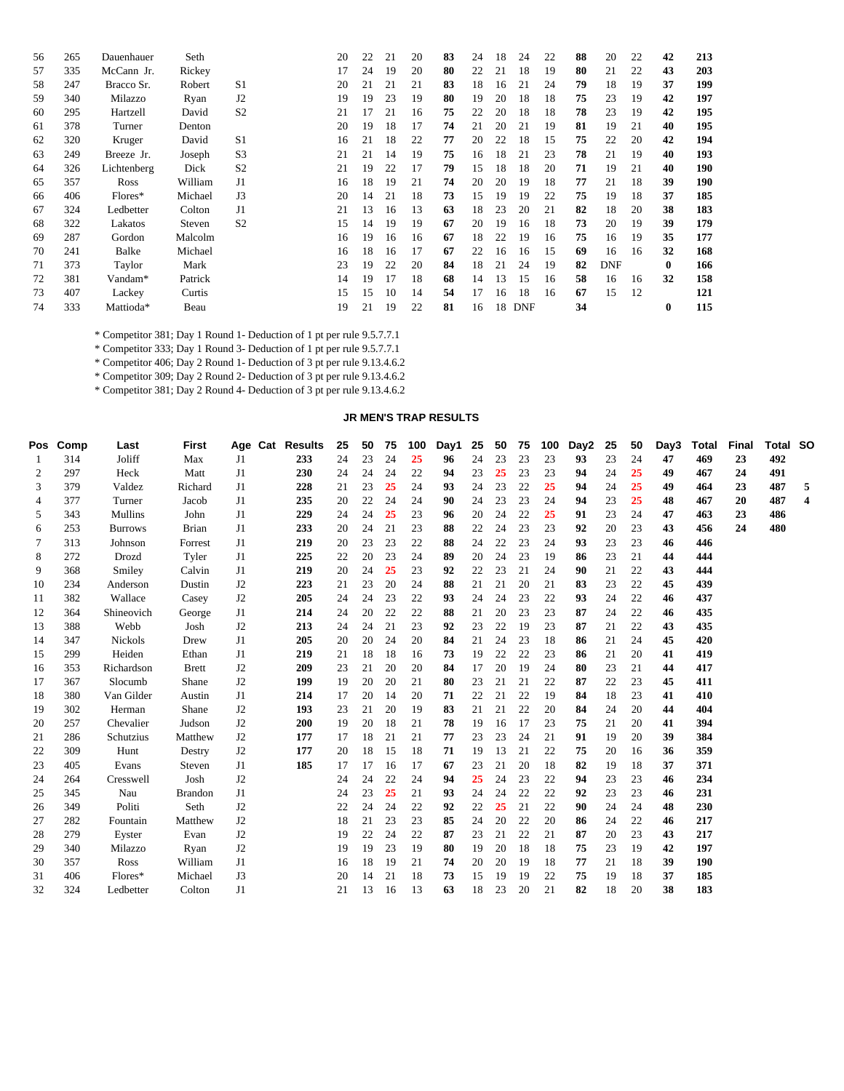| 56 | 265 | Dauenhauer  | Seth    |                | 20 | 22 | 21 | 20 | 83 | 24 | 18 | 24         | 22 | 88 | 20         | 22 | 42       | 213 |
|----|-----|-------------|---------|----------------|----|----|----|----|----|----|----|------------|----|----|------------|----|----------|-----|
| 57 | 335 | McCann Jr.  | Rickey  |                | 17 | 24 | 19 | 20 | 80 | 22 | 21 | 18         | 19 | 80 | 21         | 22 | 43       | 203 |
| 58 | 247 | Bracco Sr.  | Robert  | S1             | 20 | 21 | 21 | 21 | 83 | 18 | 16 | 21         | 24 | 79 | 18         | 19 | 37       | 199 |
| 59 | 340 | Milazzo     | Ryan    | J <sub>2</sub> | 19 | 19 | 23 | 19 | 80 | 19 | 20 | 18         | 18 | 75 | 23         | 19 | 42       | 197 |
| 60 | 295 | Hartzell    | David   | S <sub>2</sub> | 21 | 17 | 21 | 16 | 75 | 22 | 20 | 18         | 18 | 78 | 23         | 19 | 42       | 195 |
| 61 | 378 | Turner      | Denton  |                | 20 | 19 | 18 | 17 | 74 | 21 | 20 | 21         | 19 | 81 | 19         | 21 | 40       | 195 |
| 62 | 320 | Kruger      | David   | S1             | 16 | 21 | 18 | 22 | 77 | 20 | 22 | 18         | 15 | 75 | 22         | 20 | 42       | 194 |
| 63 | 249 | Breeze Jr.  | Joseph  | S <sub>3</sub> | 21 | 21 | 14 | 19 | 75 | 16 | 18 | 21         | 23 | 78 | 21         | 19 | 40       | 193 |
| 64 | 326 | Lichtenberg | Dick    | S <sub>2</sub> | 21 | 19 | 22 | 17 | 79 | 15 | 18 | 18         | 20 | 71 | 19         | 21 | 40       | 190 |
| 65 | 357 | Ross        | William | J <sub>1</sub> | 16 | 18 | 19 | 21 | 74 | 20 | 20 | 19         | 18 | 77 | 21         | 18 | 39       | 190 |
| 66 | 406 | Flores*     | Michael | J3             | 20 | 14 | 21 | 18 | 73 | 15 | 19 | 19         | 22 | 75 | 19         | 18 | 37       | 185 |
| 67 | 324 | Ledbetter   | Colton  | J1             | 21 | 13 | 16 | 13 | 63 | 18 | 23 | 20         | 21 | 82 | 18         | 20 | 38       | 183 |
| 68 | 322 | Lakatos     | Steven  | S <sub>2</sub> | 15 | 14 | 19 | 19 | 67 | 20 | 19 | 16         | 18 | 73 | 20         | 19 | 39       | 179 |
| 69 | 287 | Gordon      | Malcolm |                | 16 | 19 | 16 | 16 | 67 | 18 | 22 | 19         | 16 | 75 | 16         | 19 | 35       | 177 |
| 70 | 241 | Balke       | Michael |                | 16 | 18 | 16 | 17 | 67 | 22 | 16 | 16         | 15 | 69 | 16         | 16 | 32       | 168 |
| 71 | 373 | Taylor      | Mark    |                | 23 | 19 | 22 | 20 | 84 | 18 | 21 | 24         | 19 | 82 | <b>DNF</b> |    | $\bf{0}$ | 166 |
| 72 | 381 | Vandam*     | Patrick |                | 14 | 19 | 17 | 18 | 68 | 14 | 13 | 15         | 16 | 58 | 16         | 16 | 32       | 158 |
| 73 | 407 | Lackey      | Curtis  |                | 15 | 15 | 10 | 14 | 54 | 17 | 16 | 18         | 16 | 67 | 15         | 12 |          | 121 |
| 74 | 333 | Mattioda*   | Beau    |                | 19 | 21 | 19 | 22 | 81 | 16 | 18 | <b>DNF</b> |    | 34 |            |    | 0        | 115 |
|    |     |             |         |                |    |    |    |    |    |    |    |            |    |    |            |    |          |     |

\* Competitor 381; Day 1 Round 1- Deduction of 1 pt per rule 9.5.7.7.1

\* Competitor 333; Day 1 Round 3- Deduction of 1 pt per rule 9.5.7.7.1

\* Competitor 406; Day 2 Round 1- Deduction of 3 pt per rule 9.13.4.6.2

\* Competitor 309; Day 2 Round 2- Deduction of 3 pt per rule 9.13.4.6.2

\* Competitor 381; Day 2 Round 4- Deduction of 3 pt per rule 9.13.4.6.2

# **JR MEN'S TRAP RESULTS**

|    | Pos Comp | Last           | <b>First</b>   |                | Age Cat Results | 25 | 50 | 75 | 100 | Day1 | 25 | 50 | 75 | 100 | Day2 | 25 | 50 | Day3 | Total | Final | <b>Total SO</b> |   |
|----|----------|----------------|----------------|----------------|-----------------|----|----|----|-----|------|----|----|----|-----|------|----|----|------|-------|-------|-----------------|---|
| 1  | 314      | Joliff         | Max            | J1             | 233             | 24 | 23 | 24 | 25  | 96   | 24 | 23 | 23 | 23  | 93   | 23 | 24 | 47   | 469   | 23    | 492             |   |
| 2  | 297      | Heck           | Matt           | J1             | 230             | 24 | 24 | 24 | 22  | 94   | 23 | 25 | 23 | 23  | 94   | 24 | 25 | 49   | 467   | 24    | 491             |   |
| 3  | 379      | Valdez         | Richard        | J1             | 228             | 21 | 23 | 25 | 24  | 93   | 24 | 23 | 22 | 25  | 94   | 24 | 25 | 49   | 464   | 23    | 487             | 5 |
| 4  | 377      | Turner         | Jacob          | J <sub>1</sub> | 235             | 20 | 22 | 24 | 24  | 90   | 24 | 23 | 23 | 24  | 94   | 23 | 25 | 48   | 467   | 20    | 487             | 4 |
| 5  | 343      | Mullins        | John           | J <sub>1</sub> | 229             | 24 | 24 | 25 | 23  | 96   | 20 | 24 | 22 | 25  | 91   | 23 | 24 | 47   | 463   | 23    | 486             |   |
| 6  | 253      | <b>Burrows</b> | Brian          | J <sub>1</sub> | 233             | 20 | 24 | 21 | 23  | 88   | 22 | 24 | 23 | 23  | 92   | 20 | 23 | 43   | 456   | 24    | 480             |   |
| 7  | 313      | Johnson        | Forrest        | J1             | 219             | 20 | 23 | 23 | 22  | 88   | 24 | 22 | 23 | 24  | 93   | 23 | 23 | 46   | 446   |       |                 |   |
| 8  | 272      | Drozd          | Tyler          | J <sub>1</sub> | 225             | 22 | 20 | 23 | 24  | 89   | 20 | 24 | 23 | 19  | 86   | 23 | 21 | 44   | 444   |       |                 |   |
| 9  | 368      | Smiley         | Calvin         | J1             | 219             | 20 | 24 | 25 | 23  | 92   | 22 | 23 | 21 | 24  | 90   | 21 | 22 | 43   | 444   |       |                 |   |
| 10 | 234      | Anderson       | Dustin         | J2             | 223             | 21 | 23 | 20 | 24  | 88   | 21 | 21 | 20 | 21  | 83   | 23 | 22 | 45   | 439   |       |                 |   |
| 11 | 382      | Wallace        | Casey          | J <sub>2</sub> | 205             | 24 | 24 | 23 | 22  | 93   | 24 | 24 | 23 | 22  | 93   | 24 | 22 | 46   | 437   |       |                 |   |
| 12 | 364      | Shineovich     | George         | J1             | 214             | 24 | 20 | 22 | 22  | 88   | 21 | 20 | 23 | 23  | 87   | 24 | 22 | 46   | 435   |       |                 |   |
| 13 | 388      | Webb           | Josh           | J <sub>2</sub> | 213             | 24 | 24 | 21 | 23  | 92   | 23 | 22 | 19 | 23  | 87   | 21 | 22 | 43   | 435   |       |                 |   |
| 14 | 347      | Nickols        | Drew           | J1             | 205             | 20 | 20 | 24 | 20  | 84   | 21 | 24 | 23 | 18  | 86   | 21 | 24 | 45   | 420   |       |                 |   |
| 15 | 299      | Heiden         | Ethan          | J1             | 219             | 21 | 18 | 18 | 16  | 73   | 19 | 22 | 22 | 23  | 86   | 21 | 20 | 41   | 419   |       |                 |   |
| 16 | 353      | Richardson     | <b>B</b> rett  | J2             | 209             | 23 | 21 | 20 | 20  | 84   | 17 | 20 | 19 | 24  | 80   | 23 | 21 | 44   | 417   |       |                 |   |
| 17 | 367      | Slocumb        | Shane          | J2             | 199             | 19 | 20 | 20 | 21  | 80   | 23 | 21 | 21 | 22  | 87   | 22 | 23 | 45   | 411   |       |                 |   |
| 18 | 380      | Van Gilder     | Austin         | J1             | 214             | 17 | 20 | 14 | 20  | 71   | 22 | 21 | 22 | 19  | 84   | 18 | 23 | 41   | 410   |       |                 |   |
| 19 | 302      | Herman         | Shane          | J2             | 193             | 23 | 21 | 20 | 19  | 83   | 21 | 21 | 22 | 20  | 84   | 24 | 20 | 44   | 404   |       |                 |   |
| 20 | 257      | Chevalier      | Judson         | J2             | 200             | 19 | 20 | 18 | 21  | 78   | 19 | 16 | 17 | 23  | 75   | 21 | 20 | 41   | 394   |       |                 |   |
| 21 | 286      | Schutzius      | Matthew        | J2             | 177             | 17 | 18 | 21 | 21  | 77   | 23 | 23 | 24 | 21  | 91   | 19 | 20 | 39   | 384   |       |                 |   |
| 22 | 309      | Hunt           | Destry         | J <sub>2</sub> | 177             | 20 | 18 | 15 | 18  | 71   | 19 | 13 | 21 | 22  | 75   | 20 | 16 | 36   | 359   |       |                 |   |
| 23 | 405      | Evans          | Steven         | J1             | 185             | 17 | 17 | 16 | 17  | 67   | 23 | 21 | 20 | 18  | 82   | 19 | 18 | 37   | 371   |       |                 |   |
| 24 | 264      | Cresswell      | Josh           | J2             |                 | 24 | 24 | 22 | 24  | 94   | 25 | 24 | 23 | 22  | 94   | 23 | 23 | 46   | 234   |       |                 |   |
| 25 | 345      | Nau            | <b>Brandon</b> | J <sub>1</sub> |                 | 24 | 23 | 25 | 21  | 93   | 24 | 24 | 22 | 22  | 92   | 23 | 23 | 46   | 231   |       |                 |   |
| 26 | 349      | Politi         | Seth           | J2             |                 | 22 | 24 | 24 | 22  | 92   | 22 | 25 | 21 | 22  | 90   | 24 | 24 | 48   | 230   |       |                 |   |
| 27 | 282      | Fountain       | Matthew        | J2             |                 | 18 | 21 | 23 | 23  | 85   | 24 | 20 | 22 | 20  | 86   | 24 | 22 | 46   | 217   |       |                 |   |
| 28 | 279      | Eyster         | Evan           | J2             |                 | 19 | 22 | 24 | 22  | 87   | 23 | 21 | 22 | 21  | 87   | 20 | 23 | 43   | 217   |       |                 |   |
| 29 | 340      | Milazzo        | Ryan           | J2             |                 | 19 | 19 | 23 | 19  | 80   | 19 | 20 | 18 | 18  | 75   | 23 | 19 | 42   | 197   |       |                 |   |
| 30 | 357      | Ross           | William        | J1             |                 | 16 | 18 | 19 | 21  | 74   | 20 | 20 | 19 | 18  | 77   | 21 | 18 | 39   | 190   |       |                 |   |
| 31 | 406      | Flores*        | Michael        | J3             |                 | 20 | 14 | 21 | 18  | 73   | 15 | 19 | 19 | 22  | 75   | 19 | 18 | 37   | 185   |       |                 |   |
| 32 | 324      | Ledbetter      | Colton         | J1             |                 | 21 | 13 | 16 | 13  | 63   | 18 | 23 | 20 | 21  | 82   | 18 | 20 | 38   | 183   |       |                 |   |